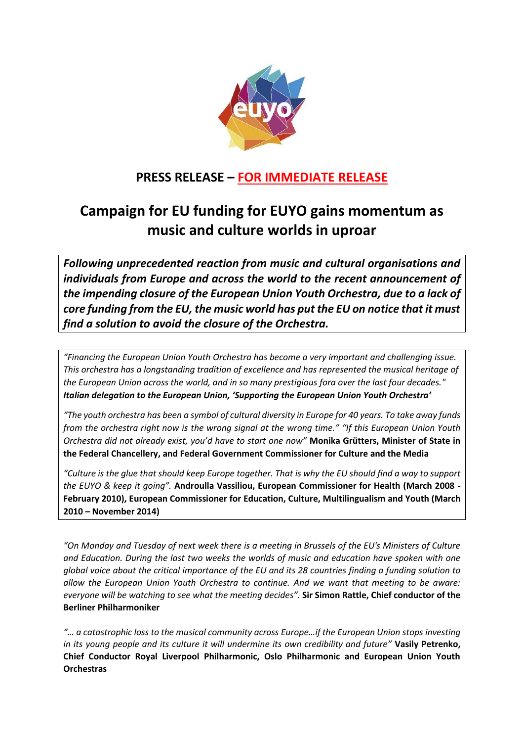

## **PRESS RELEASE – FOR IMMEDIATE RELEASE**

# **Campaign for EU funding for EUYO gains momentum as music and culture worlds in uproar**

*Following unprecedented reaction from music and cultural organisations and individuals from Europe and across the world to the recent announcement of the impending closure of the European Union Youth Orchestra, due to a lack of core funding from the EU, the music world has put the EU on notice that it must find a solution to avoid the closure of the Orchestra.*

*"Financing the European Union Youth Orchestra has become a very important and challenging issue. This orchestra has a longstanding tradition of excellence and has represented the musical heritage of the European Union across the world, and in so many prestigious fora over the last four decades." Italian delegation to the European Union, 'Supporting the European Union Youth Orchestra'*

*"The youth orchestra has been a symbol of cultural diversity in Europe for 40 years. To take away funds from the orchestra right now is the wrong signal at the wrong time." "If this European Union Youth Orchestra did not already exist, you'd have to start one now"* **Monika Grütters, Minister of State in the Federal Chancellery, and Federal Government Commissioner for Culture and the Media**

*"Culture is the glue that should keep Europe together. That is why the EU should find a way to support the EUYO & keep it going".* **Androulla Vassiliou, European Commissioner for Health (March 2008 - February 2010), European Commissioner for Education, Culture, Multilingualism and Youth (March 2010 – November 2014)**

*"On Monday and Tuesday of next week there is a meeting in Brussels of the EU's Ministers of Culture and Education. During the last two weeks the worlds of music and education have spoken with one global voice about the critical importance of the EU and its 28 countries finding a funding solution to allow the European Union Youth Orchestra to continue. And we want that meeting to be aware: everyone will be watching to see what the meeting decides".* **Sir Simon Rattle, Chief conductor of the Berliner Philharmoniker**

*"… a catastrophic loss to the musical community across Europe…if the European Union stops investing in its young people and its culture it will undermine its own credibility and future"* **Vasily Petrenko, Chief Conductor Royal Liverpool Philharmonic, Oslo Philharmonic and European Union Youth Orchestras**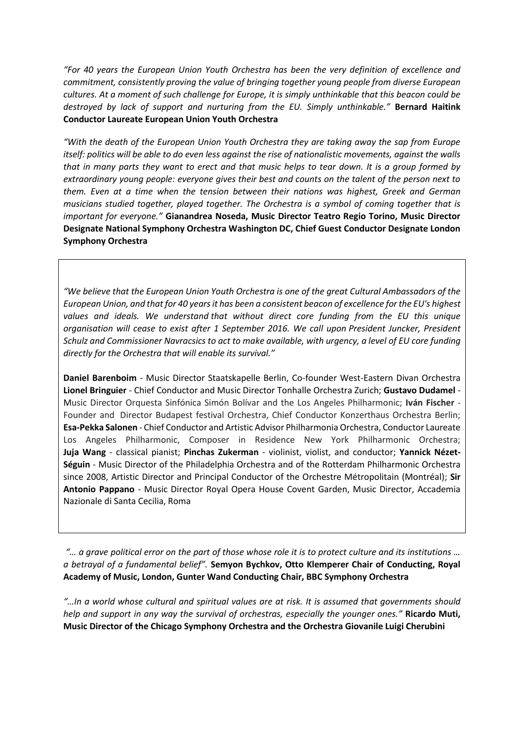*"For 40 years the European Union Youth Orchestra has been the very definition of excellence and commitment, consistently proving the value of bringing together young people from diverse European cultures. At a moment of such challenge for Europe, it is simply unthinkable that this beacon could be destroyed by lack of support and nurturing from the EU. Simply unthinkable."* **Bernard Haitink Conductor Laureate European Union Youth Orchestra**

*"With the death of the European Union Youth Orchestra they are taking away the sap from Europe itself: politics will be able to do even less against the rise of nationalistic movements, against the walls that in many parts they want to erect and that music helps to tear down. It is a group formed by extraordinary young people: everyone gives their best and counts on the talent of the person next to them. Even at a time when the tension between their nations was highest, Greek and German musicians studied together, played together. The Orchestra is a symbol of coming together that is important for everyone."* **Gianandrea Noseda, Music Director Teatro Regio Torino, Music Director Designate National Symphony Orchestra Washington DC, Chief Guest Conductor Designate London Symphony Orchestra** 

*"We believe that the European Union Youth Orchestra is one of the great Cultural Ambassadors of the European Union, and that for 40 years it has been a consistent beacon of excellence for the EU's highest values and ideals. We understand that without direct core funding from the EU this unique organisation will cease to exist after 1 September 2016. We call upon President Juncker, President Schulz and Commissioner Navracsics to act to make available, with urgency, a level of EU core funding directly for the Orchestra that will enable its survival."* 

**Daniel Barenboim** - Music Director Staatskapelle Berlin, Co-founder West-Eastern Divan Orchestra **Lionel Bringuier** - Chief Conductor and Music Director Tonhalle Orchestra Zurich; **Gustavo Dudamel** - Music Director Orquesta Sinfónica Simón Bolívar and the Los Angeles Philharmonic; **Iván Fischer** - Founder and Director Budapest festival Orchestra, Chief Conductor Konzerthaus Orchestra Berlin; **Esa-Pekka Salonen** - Chief Conductor and Artistic Advisor Philharmonia Orchestra, Conductor Laureate Los Angeles Philharmonic, Composer in Residence New York Philharmonic Orchestra; **Juja Wang** - classical pianist; **Pinchas Zukerman** - violinist, violist, and conductor; **Yannick Nézet-Séguin** - Music Director of the Philadelphia Orchestra and of the Rotterdam Philharmonic Orchestra since 2008, Artistic Director and Principal Conductor of the Orchestre Métropolitain (Montréal); **Sir Antonio Pappano** - Music Director Royal Opera House Covent Garden, Music Director, Accademia Nazionale di Santa Cecilia, Roma

*"… a grave political error on the part of those whose role it is to protect culture and its institutions … a betrayal of a fundamental belief".* **Semyon Bychkov, Otto Klemperer Chair of Conducting, Royal Academy of Music, London, Gunter Wand Conducting Chair, BBC Symphony Orchestra**

*"…In a world whose cultural and spiritual values are at risk. It is assumed that governments should help and support in any way the survival of orchestras, especially the younger ones."* **Ricardo Muti, Music Director of the Chicago Symphony Orchestra and the Orchestra Giovanile Luigi Cherubini**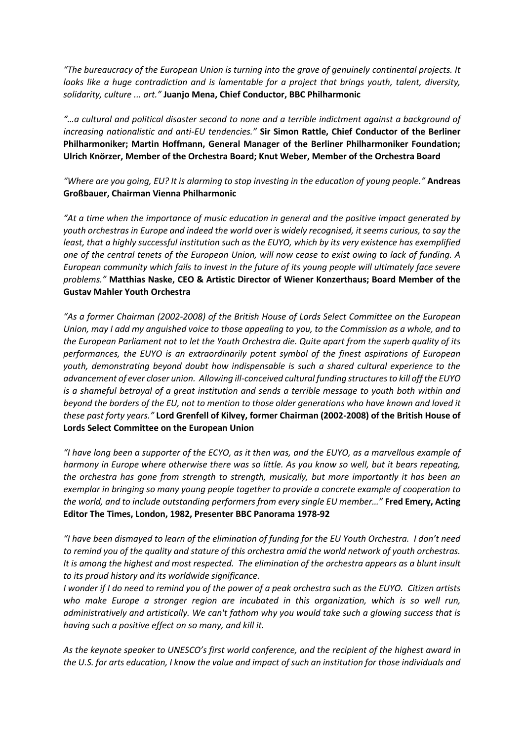*"The bureaucracy of the European Union is turning into the grave of genuinely continental projects. It looks like a huge contradiction and is lamentable for a project that brings youth, talent, diversity, solidarity, culture ... art."* **Juanjo Mena, Chief Conductor, BBC Philharmonic**

*"…a cultural and political disaster second to none and a terrible indictment against a background of increasing nationalistic and anti-EU tendencies."* **Sir Simon Rattle, Chief Conductor of the Berliner Philharmoniker; Martin Hoffmann, General Manager of the Berliner Philharmoniker Foundation; Ulrich Knörzer, Member of the Orchestra Board; Knut Weber, Member of the Orchestra Board**

*"Where are you going, EU? It is alarming to stop investing in the education of young people."* **Andreas Großbauer, Chairman Vienna Philharmonic**

*"At a time when the importance of music education in general and the positive impact generated by youth orchestras in Europe and indeed the world over is widely recognised, it seems curious, to say the least, that a highly successful institution such as the EUYO, which by its very existence has exemplified one of the central tenets of the European Union, will now cease to exist owing to lack of funding. A European community which fails to invest in the future of its young people will ultimately face severe problems."* **Matthias Naske, CEO & Artistic Director of Wiener Konzerthaus; Board Member of the Gustav Mahler Youth Orchestra**

*"As a former Chairman (2002-2008) of the British House of Lords Select Committee on the European Union, may I add my anguished voice to those appealing to you, to the Commission as a whole, and to the European Parliament not to let the Youth Orchestra die. Quite apart from the superb quality of its performances, the EUYO is an extraordinarily potent symbol of the finest aspirations of European youth, demonstrating beyond doubt how indispensable is such a shared cultural experience to the advancement of ever closer union. Allowing ill-conceived cultural funding structures to kill off the EUYO is a shameful betrayal of a great institution and sends a terrible message to youth both within and beyond the borders of the EU, not to mention to those older generations who have known and loved it these past forty years."* **Lord Grenfell of Kilvey, former Chairman (2002-2008) of the British House of Lords Select Committee on the European Union**

*"I have long been a supporter of the ECYO, as it then was, and the EUYO, as a marvellous example of harmony in Europe where otherwise there was so little. As you know so well, but it bears repeating, the orchestra has gone from strength to strength, musically, but more importantly it has been an exemplar in bringing so many young people together to provide a concrete example of cooperation to the world, and to include outstanding performers from every single EU member…"* **Fred Emery, Acting Editor The Times, London, 1982, Presenter BBC Panorama 1978-92**

*"I have been dismayed to learn of the elimination of funding for the EU Youth Orchestra. I don't need to remind you of the quality and stature of this orchestra amid the world network of youth orchestras. It is among the highest and most respected. The elimination of the orchestra appears as a blunt insult to its proud history and its worldwide significance.* 

*I wonder if I do need to remind you of the power of a peak orchestra such as the EUYO. Citizen artists who make Europe a stronger region are incubated in this organization, which is so well run, administratively and artistically. We can't fathom why you would take such a glowing success that is having such a positive effect on so many, and kill it.* 

*As the keynote speaker to UNESCO's first world conference, and the recipient of the highest award in the U.S. for arts education, I know the value and impact of such an institution for those individuals and*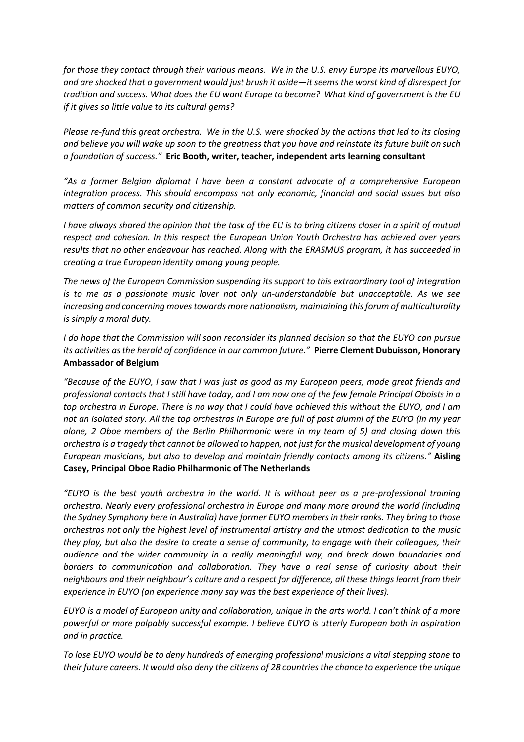*for those they contact through their various means. We in the U.S. envy Europe its marvellous EUYO, and are shocked that a government would just brush it aside—it seems the worst kind of disrespect for tradition and success. What does the EU want Europe to become? What kind of government is the EU if it gives so little value to its cultural gems?*

*Please re-fund this great orchestra. We in the U.S. were shocked by the actions that led to its closing and believe you will wake up soon to the greatness that you have and reinstate its future built on such a foundation of success."* **Eric Booth, writer, teacher, independent arts learning consultant**

*"As a former Belgian diplomat I have been a constant advocate of a comprehensive European integration process. This should encompass not only economic, financial and social issues but also matters of common security and citizenship.* 

*I have always shared the opinion that the task of the EU is to bring citizens closer in a spirit of mutual respect and cohesion. In this respect the European Union Youth Orchestra has achieved over years results that no other endeavour has reached. Along with the ERASMUS program, it has succeeded in creating a true European identity among young people.* 

*The news of the European Commission suspending its support to this extraordinary tool of integration is to me as a passionate music lover not only un-understandable but unacceptable. As we see increasing and concerning moves towards more nationalism, maintaining this forum of multiculturality is simply a moral duty.* 

*I do hope that the Commission will soon reconsider its planned decision so that the EUYO can pursue its activities as the herald of confidence in our common future."* **Pierre Clement Dubuisson, Honorary Ambassador of Belgium**

*"Because of the EUYO, I saw that I was just as good as my European peers, made great friends and professional contacts that I still have today, and I am now one of the few female Principal Oboists in a top orchestra in Europe. There is no way that I could have achieved this without the EUYO, and I am not an isolated story. All the top orchestras in Europe are full of past alumni of the EUYO (in my year alone, 2 Oboe members of the Berlin Philharmonic were in my team of 5) and closing down this orchestra is a tragedy that cannot be allowed to happen, not just for the musical development of young European musicians, but also to develop and maintain friendly contacts among its citizens."* **Aisling Casey, Principal Oboe Radio Philharmonic of The Netherlands**

*"EUYO is the best youth orchestra in the world. It is without peer as a pre-professional training orchestra. Nearly every professional orchestra in Europe and many more around the world (including the Sydney Symphony here in Australia) have former EUYO members in their ranks. They bring to those orchestras not only the highest level of instrumental artistry and the utmost dedication to the music they play, but also the desire to create a sense of community, to engage with their colleagues, their audience and the wider community in a really meaningful way, and break down boundaries and borders to communication and collaboration. They have a real sense of curiosity about their neighbours and their neighbour's culture and a respect for difference, all these things learnt from their experience in EUYO (an experience many say was the best experience of their lives).* 

*EUYO is a model of European unity and collaboration, unique in the arts world. I can't think of a more powerful or more palpably successful example. I believe EUYO is utterly European both in aspiration and in practice.*

*To lose EUYO would be to deny hundreds of emerging professional musicians a vital stepping stone to their future careers. It would also deny the citizens of 28 countries the chance to experience the unique*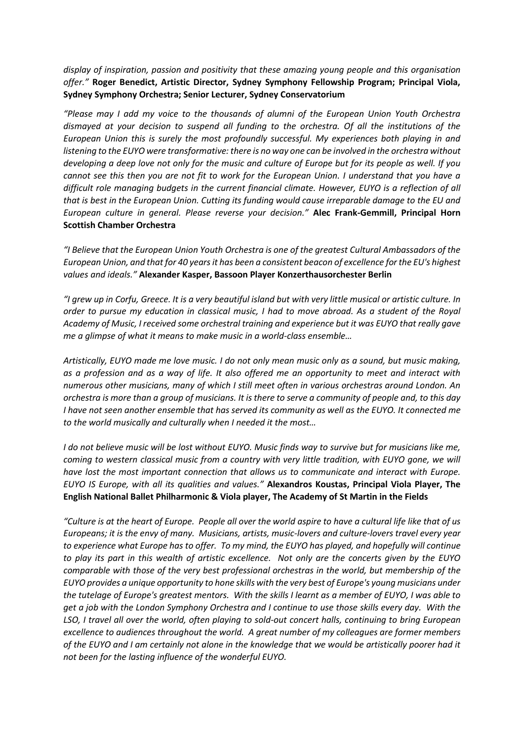*display of inspiration, passion and positivity that these amazing young people and this organisation offer."* **Roger Benedict, Artistic Director, Sydney Symphony Fellowship Program; Principal Viola, Sydney Symphony Orchestra; Senior Lecturer, Sydney Conservatorium**

*"Please may I add my voice to the thousands of alumni of the European Union Youth Orchestra dismayed at your decision to suspend all funding to the orchestra. Of all the institutions of the European Union this is surely the most profoundly successful. My experiences both playing in and listening to the EUYO were transformative: there is no way one can be involved in the orchestra without developing a deep love not only for the music and culture of Europe but for its people as well. If you cannot see this then you are not fit to work for the European Union. I understand that you have a difficult role managing budgets in the current financial climate. However, EUYO is a reflection of all that is best in the European Union. Cutting its funding would cause irreparable damage to the EU and European culture in general. Please reverse your decision."* **Alec Frank-Gemmill, Principal Horn Scottish Chamber Orchestra**

*"I Believe that the European Union Youth Orchestra is one of the greatest Cultural Ambassadors of the European Union, and that for 40 years it has been a consistent beacon of excellence for the EU's highest values and ideals."* **Alexander Kasper, Bassoon Player Konzerthausorchester Berlin**

*"I grew up in Corfu, Greece. It is a very beautiful island but with very little musical or artistic culture. In order to pursue my education in classical music, I had to move abroad. As a student of the Royal Academy of Music, I received some orchestral training and experience but it was EUYO that really gave me a glimpse of what it means to make music in a world-class ensemble…*

*Artistically, EUYO made me love music. I do not only mean music only as a sound, but music making, as a profession and as a way of life. It also offered me an opportunity to meet and interact with numerous other musicians, many of which I still meet often in various orchestras around London. An orchestra is more than a group of musicians. It is there to serve a community of people and, to this day I have not seen another ensemble that has served its community as well as the EUYO. It connected me to the world musically and culturally when I needed it the most…*

*I do not believe music will be lost without EUYO. Music finds way to survive but for musicians like me, coming to western classical music from a country with very little tradition, with EUYO gone, we will have lost the most important connection that allows us to communicate and interact with Europe. EUYO IS Europe, with all its qualities and values."* **Alexandros Koustas, Principal Viola Player, The English National Ballet Philharmonic & Viola player, The Academy of St Martin in the Fields**

*"Culture is at the heart of Europe. People all over the world aspire to have a cultural life like that of us Europeans; it is the envy of many. Musicians, artists, music-lovers and culture-lovers travel every year to experience what Europe has to offer. To my mind, the EUYO has played, and hopefully will continue to play its part in this wealth of artistic excellence. Not only are the concerts given by the EUYO comparable with those of the very best professional orchestras in the world, but membership of the EUYO provides a unique opportunity to hone skills with the very best of Europe's young musicians under the tutelage of Europe's greatest mentors. With the skills I learnt as a member of EUYO, I was able to get a job with the London Symphony Orchestra and I continue to use those skills every day. With the LSO, I travel all over the world, often playing to sold-out concert halls, continuing to bring European excellence to audiences throughout the world. A great number of my colleagues are former members of the EUYO and I am certainly not alone in the knowledge that we would be artistically poorer had it not been for the lasting influence of the wonderful EUYO.*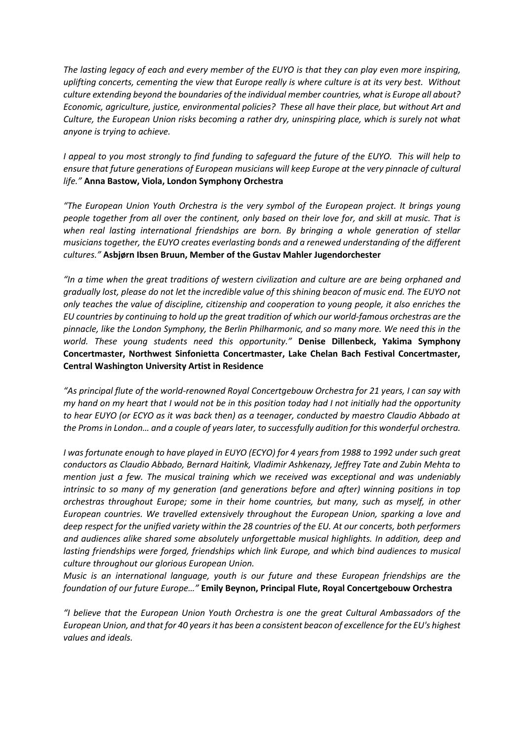*The lasting legacy of each and every member of the EUYO is that they can play even more inspiring, uplifting concerts, cementing the view that Europe really is where culture is at its very best. Without culture extending beyond the boundaries of the individual member countries, what is Europe all about? Economic, agriculture, justice, environmental policies? These all have their place, but without Art and Culture, the European Union risks becoming a rather dry, uninspiring place, which is surely not what anyone is trying to achieve.*

*I appeal to you most strongly to find funding to safeguard the future of the EUYO. This will help to ensure that future generations of European musicians will keep Europe at the very pinnacle of cultural life."* **Anna Bastow, Viola, London Symphony Orchestra**

*"The European Union Youth Orchestra is the very symbol of the European project. It brings young people together from all over the continent, only based on their love for, and skill at music. That is when real lasting international friendships are born. By bringing a whole generation of stellar musicians together, the EUYO creates everlasting bonds and a renewed understanding of the different cultures."* **Asbjørn Ibsen Bruun, Member of the Gustav Mahler Jugendorchester**

*"In a time when the great traditions of western civilization and culture are are being orphaned and gradually lost, please do not let the incredible value of this shining beacon of music end. The EUYO not only teaches the value of discipline, citizenship and cooperation to young people, it also enriches the EU countries by continuing to hold up the great tradition of which our world-famous orchestras are the pinnacle, like the London Symphony, the Berlin Philharmonic, and so many more. We need this in the world. These young students need this opportunity."* **Denise Dillenbeck, Yakima Symphony Concertmaster, Northwest Sinfonietta Concertmaster, Lake Chelan Bach Festival Concertmaster, Central Washington University Artist in Residence**

*"As principal flute of the world-renowned Royal Concertgebouw Orchestra for 21 years, I can say with my hand on my heart that I would not be in this position today had I not initially had the opportunity to hear EUYO (or ECYO as it was back then) as a teenager, conducted by maestro Claudio Abbado at the Proms in London… and a couple of years later, to successfully audition for this wonderful orchestra.* 

*I was fortunate enough to have played in EUYO (ECYO) for 4 years from 1988 to 1992 under such great conductors as Claudio Abbado, Bernard Haitink, Vladimir Ashkenazy, Jeffrey Tate and Zubin Mehta to mention just a few. The musical training which we received was exceptional and was undeniably intrinsic to so many of my generation (and generations before and after) winning positions in top orchestras throughout Europe; some in their home countries, but many, such as myself, in other European countries. We travelled extensively throughout the European Union, sparking a love and deep respect for the unified variety within the 28 countries of the EU. At our concerts, both performers and audiences alike shared some absolutely unforgettable musical highlights. In addition, deep and lasting friendships were forged, friendships which link Europe, and which bind audiences to musical culture throughout our glorious European Union.*

*Music is an international language, youth is our future and these European friendships are the foundation of our future Europe…"* **Emily Beynon, Principal Flute, Royal Concertgebouw Orchestra**

*"I believe that the European Union Youth Orchestra is one the great Cultural Ambassadors of the European Union, and that for 40 years it has been a consistent beacon of excellence for the EU's highest values and ideals.*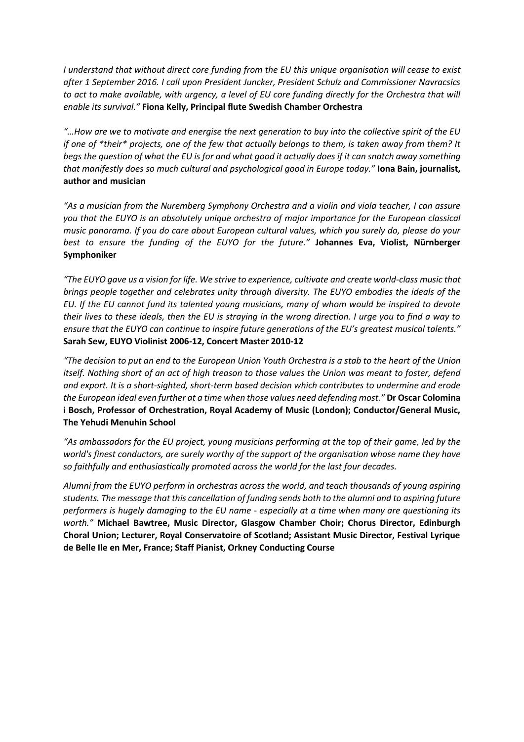*I understand that without direct core funding from the EU this unique organisation will cease to exist after 1 September 2016. I call upon President Juncker, President Schulz and Commissioner Navracsics to act to make available, with urgency, a level of EU core funding directly for the Orchestra that will enable its survival."* **Fiona Kelly, Principal flute Swedish Chamber Orchestra**

*"…How are we to motivate and energise the next generation to buy into the collective spirit of the EU if one of \*their\* projects, one of the few that actually belongs to them, is taken away from them? It begs the question of what the EU is for and what good it actually does if it can snatch away something that manifestly does so much cultural and psychological good in Europe today."* **Iona Bain, journalist, author and musician**

*"As a musician from the Nuremberg Symphony Orchestra and a violin and viola teacher, I can assure you that the EUYO is an absolutely unique orchestra of major importance for the European classical music panorama. If you do care about European cultural values, which you surely do, please do your best to ensure the funding of the EUYO for the future."* **Johannes Eva, Violist, Nürnberger Symphoniker**

*"The EUYO gave us a vision for life. We strive to experience, cultivate and create world-class music that brings people together and celebrates unity through diversity. The EUYO embodies the ideals of the EU. If the EU cannot fund its talented young musicians, many of whom would be inspired to devote their lives to these ideals, then the EU is straying in the wrong direction. I urge you to find a way to ensure that the EUYO can continue to inspire future generations of the EU's greatest musical talents."* **Sarah Sew, EUYO Violinist 2006-12, Concert Master 2010-12**

*"The decision to put an end to the European Union Youth Orchestra is a stab to the heart of the Union itself. Nothing short of an act of high treason to those values the Union was meant to foster, defend and export. It is a short-sighted, short-term based decision which contributes to undermine and erode the European ideal even further at a time when those values need defending most."* **Dr Oscar Colomina i Bosch, Professor of Orchestration, Royal Academy of Music (London); Conductor/General Music, The Yehudi Menuhin School**

*"As ambassadors for the EU project, young musicians performing at the top of their game, led by the world's finest conductors, are surely worthy of the support of the organisation whose name they have so faithfully and enthusiastically promoted across the world for the last four decades.* 

*Alumni from the EUYO perform in orchestras across the world, and teach thousands of young aspiring students. The message that this cancellation of funding sends both to the alumni and to aspiring future performers is hugely damaging to the EU name - especially at a time when many are questioning its worth."* **Michael Bawtree, Music Director, Glasgow Chamber Choir; Chorus Director, Edinburgh Choral Union; Lecturer, Royal Conservatoire of Scotland; Assistant Music Director, Festival Lyrique de Belle Ile en Mer, France; Staff Pianist, Orkney Conducting Course**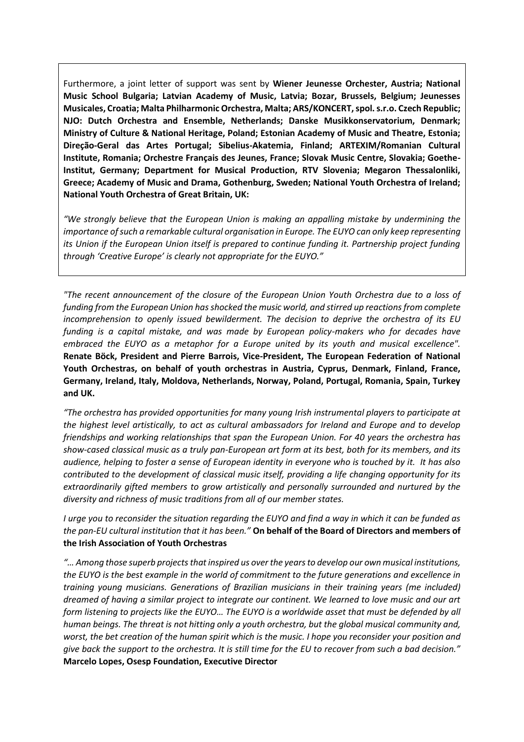Furthermore, a joint letter of support was sent by **Wiener Jeunesse Orchester, Austria; National Music School Bulgaria; Latvian Academy of Music, Latvia; Bozar, Brussels, Belgium; Jeunesses Musicales, Croatia; Malta Philharmonic Orchestra, Malta; ARS/KONCERT, spol. s.r.o. Czech Republic; NJO: Dutch Orchestra and Ensemble, Netherlands; Danske Musikkonservatorium, Denmark; Ministry of Culture & National Heritage, Poland; Estonian Academy of Music and Theatre, Estonia; Direção-Geral das Artes Portugal; Sibelius-Akatemia, Finland; ARTEXIM/Romanian Cultural Institute, Romania; Orchestre Français des Jeunes, France; Slovak Music Centre, Slovakia; Goethe-Institut, Germany; Department for Musical Production, RTV Slovenia; Megaron Thessalonliki, Greece; Academy of Music and Drama, Gothenburg, Sweden; National Youth Orchestra of Ireland; National Youth Orchestra of Great Britain, UK:**

*"We strongly believe that the European Union is making an appalling mistake by undermining the importance of such a remarkable cultural organisation in Europe. The EUYO can only keep representing its Union if the European Union itself is prepared to continue funding it. Partnership project funding through 'Creative Europe' is clearly not appropriate for the EUYO."*

*"The recent announcement of the closure of the European Union Youth Orchestra due to a loss of funding from the European Union has shocked the music world, and stirred up reactions from complete incomprehension to openly issued bewilderment. The decision to deprive the orchestra of its EU funding is a capital mistake, and was made by European policy-makers who for decades have embraced the EUYO as a metaphor for a Europe united by its youth and musical excellence".* **Renate Böck, President and Pierre Barrois, Vice-President, The European Federation of National Youth Orchestras, on behalf of youth orchestras in Austria, Cyprus, Denmark, Finland, France, Germany, Ireland, Italy, Moldova, Netherlands, Norway, Poland, Portugal, Romania, Spain, Turkey and UK.**

*"The orchestra has provided opportunities for many young Irish instrumental players to participate at the highest level artistically, to act as cultural ambassadors for Ireland and Europe and to develop friendships and working relationships that span the European Union. For 40 years the orchestra has show-cased classical music as a truly pan-European art form at its best, both for its members, and its audience, helping to foster a sense of European identity in everyone who is touched by it. It has also contributed to the development of classical music itself, providing a life changing opportunity for its extraordinarily gifted members to grow artistically and personally surrounded and nurtured by the diversity and richness of music traditions from all of our member states.* 

*I urge you to reconsider the situation regarding the EUYO and find a way in which it can be funded as the pan-EU cultural institution that it has been."* **On behalf of the Board of Directors and members of the Irish Association of Youth Orchestras**

*"… Among those superb projects that inspired us over the years to develop our own musical institutions, the EUYO is the best example in the world of commitment to the future generations and excellence in training young musicians. Generations of Brazilian musicians in their training years (me included) dreamed of having a similar project to integrate our continent. We learned to love music and our art form listening to projects like the EUYO… The EUYO is a worldwide asset that must be defended by all human beings. The threat is not hitting only a youth orchestra, but the global musical community and, worst, the bet creation of the human spirit which is the music. I hope you reconsider your position and give back the support to the orchestra. It is still time for the EU to recover from such a bad decision."* **Marcelo Lopes, Osesp Foundation, Executive Director**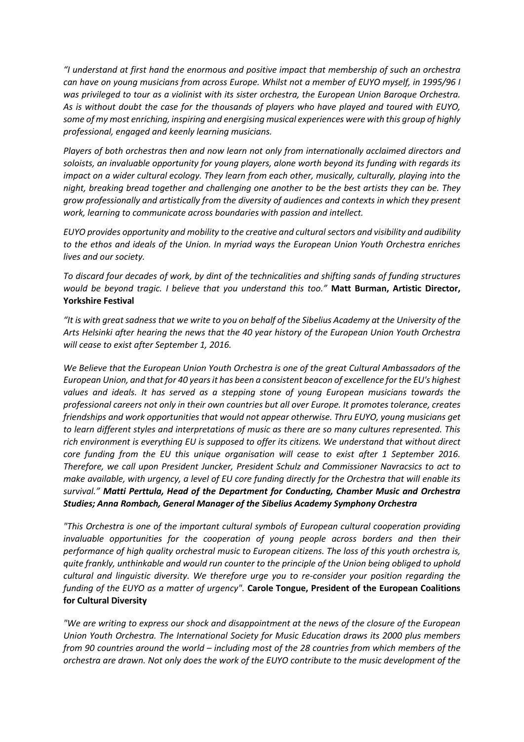*"I understand at first hand the enormous and positive impact that membership of such an orchestra can have on young musicians from across Europe. Whilst not a member of EUYO myself, in 1995/96 I was privileged to tour as a violinist with its sister orchestra, the European Union Baroque Orchestra. As is without doubt the case for the thousands of players who have played and toured with EUYO, some of my most enriching, inspiring and energising musical experiences were with this group of highly professional, engaged and keenly learning musicians.* 

*Players of both orchestras then and now learn not only from internationally acclaimed directors and soloists, an invaluable opportunity for young players, alone worth beyond its funding with regards its impact on a wider cultural ecology. They learn from each other, musically, culturally, playing into the night, breaking bread together and challenging one another to be the best artists they can be. They grow professionally and artistically from the diversity of audiences and contexts in which they present work, learning to communicate across boundaries with passion and intellect.*

*EUYO provides opportunity and mobility to the creative and cultural sectors and visibility and audibility to the ethos and ideals of the Union. In myriad ways the European Union Youth Orchestra enriches lives and our society.*

*To discard four decades of work, by dint of the technicalities and shifting sands of funding structures would be beyond tragic. I believe that you understand this too."* **Matt Burman, Artistic Director, Yorkshire Festival**

*"It is with great sadness that we write to you on behalf of the Sibelius Academy at the University of the Arts Helsinki after hearing the news that the 40 year history of the European Union Youth Orchestra will cease to exist after September 1, 2016.* 

*We Believe that the European Union Youth Orchestra is one of the great Cultural Ambassadors of the European Union, and that for 40 years it has been a consistent beacon of excellence for the EU's highest values and ideals. It has served as a stepping stone of young European musicians towards the professional careers not only in their own countries but all over Europe. It promotes tolerance, creates friendships and work opportunities that would not appear otherwise. Thru EUYO, young musicians get to learn different styles and interpretations of music as there are so many cultures represented. This rich environment is everything EU is supposed to offer its citizens. We understand that without direct core funding from the EU this unique organisation will cease to exist after 1 September 2016. Therefore, we call upon President Juncker, President Schulz and Commissioner Navracsics to act to make available, with urgency, a level of EU core funding directly for the Orchestra that will enable its survival." Matti Perttula, Head of the Department for Conducting, Chamber Music and Orchestra Studies; Anna Rombach, General Manager of the Sibelius Academy Symphony Orchestra*

*"This Orchestra is one of the important cultural symbols of European cultural cooperation providing invaluable opportunities for the cooperation of young people across borders and then their performance of high quality orchestral music to European citizens. The loss of this youth orchestra is, quite frankly, unthinkable and would run counter to the principle of the Union being obliged to uphold cultural and linguistic diversity. We therefore urge you to re-consider your position regarding the funding of the EUYO as a matter of urgency".* **Carole Tongue, President of the European Coalitions for Cultural Diversity**

*"We are writing to express our shock and disappointment at the news of the closure of the European Union Youth Orchestra. The International Society for Music Education draws its 2000 plus members from 90 countries around the world – including most of the 28 countries from which members of the orchestra are drawn. Not only does the work of the EUYO contribute to the music development of the*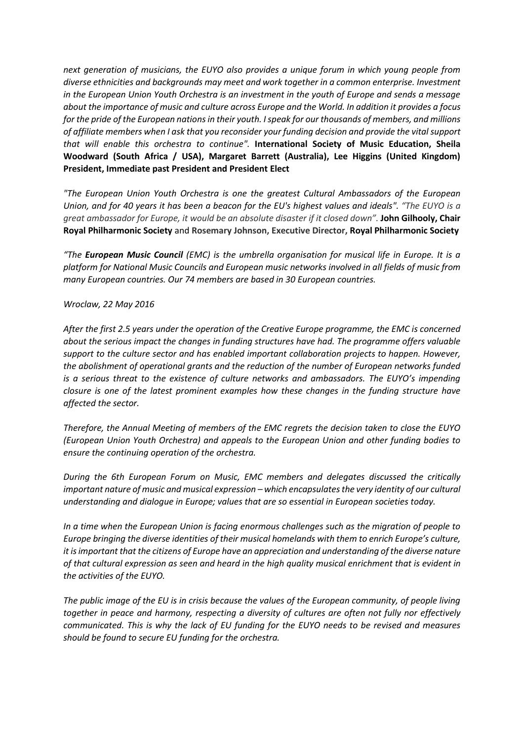*next generation of musicians, the EUYO also provides a unique forum in which young people from diverse ethnicities and backgrounds may meet and work together in a common enterprise. Investment in the European Union Youth Orchestra is an investment in the youth of Europe and sends a message about the importance of music and culture across Europe and the World. In addition it provides a focus for the pride of the European nations in their youth. I speak for our thousands of members, and millions of affiliate members when I ask that you reconsider your funding decision and provide the vital support that will enable this orchestra to continue".* **International Society of Music Education, Sheila Woodward (South Africa / USA), Margaret Barrett (Australia), Lee Higgins (United Kingdom) President, Immediate past President and President Elect**

*"The European Union Youth Orchestra is one the greatest Cultural Ambassadors of the European Union, and for 40 years it has been a beacon for the EU's highest values and ideals". "The EUYO is a great ambassador for Europe, it would be an absolute disaster if it closed down".* **John Gilhooly, Chair Royal Philharmonic Society** and **Rosemary Johnson, Executive Director, Royal Philharmonic Society**

*"The European Music Council (EMC) is the umbrella organisation for musical life in Europe. It is a platform for National Music Councils and European music networks involved in all fields of music from many European countries. Our 74 members are based in 30 European countries.* 

#### *Wroclaw, 22 May 2016*

*After the first 2.5 years under the operation of the Creative Europe programme, the EMC is concerned about the serious impact the changes in funding structures have had. The programme offers valuable support to the culture sector and has enabled important collaboration projects to happen. However, the abolishment of operational grants and the reduction of the number of European networks funded is a serious threat to the existence of culture networks and ambassadors. The EUYO's impending closure is one of the latest prominent examples how these changes in the funding structure have affected the sector.* 

*Therefore, the Annual Meeting of members of the EMC regrets the decision taken to close the EUYO (European Union Youth Orchestra) and appeals to the European Union and other funding bodies to ensure the continuing operation of the orchestra.* 

*During the 6th European Forum on Music, EMC members and delegates discussed the critically important nature of music and musical expression – which encapsulates the very identity of our cultural understanding and dialogue in Europe; values that are so essential in European societies today.* 

*In a time when the European Union is facing enormous challenges such as the migration of people to Europe bringing the diverse identities of their musical homelands with them to enrich Europe's culture, it is important that the citizens of Europe have an appreciation and understanding of the diverse nature of that cultural expression as seen and heard in the high quality musical enrichment that is evident in the activities of the EUYO.* 

*The public image of the EU is in crisis because the values of the European community, of people living together in peace and harmony, respecting a diversity of cultures are often not fully nor effectively communicated. This is why the lack of EU funding for the EUYO needs to be revised and measures should be found to secure EU funding for the orchestra.*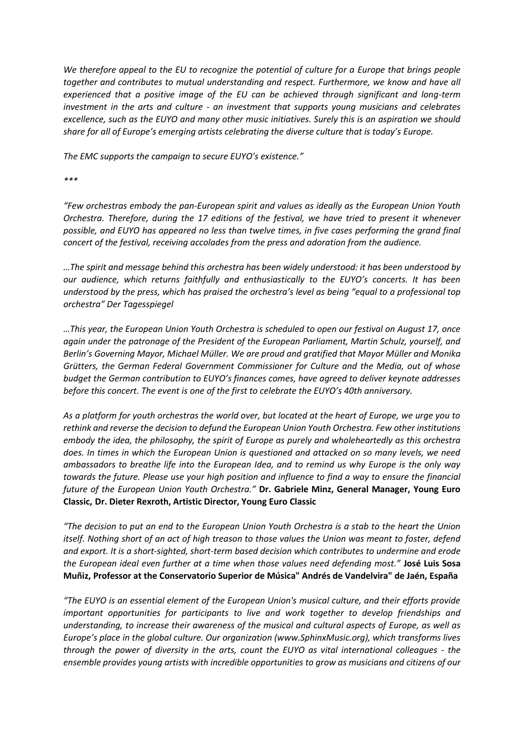*We therefore appeal to the EU to recognize the potential of culture for a Europe that brings people together and contributes to mutual understanding and respect. Furthermore, we know and have all experienced that a positive image of the EU can be achieved through significant and long-term investment in the arts and culture - an investment that supports young musicians and celebrates excellence, such as the EUYO and many other music initiatives. Surely this is an aspiration we should share for all of Europe's emerging artists celebrating the diverse culture that is today's Europe.*

*The EMC supports the campaign to secure EUYO's existence."*

*\*\*\**

*"Few orchestras embody the pan-European spirit and values as ideally as the European Union Youth Orchestra. Therefore, during the 17 editions of the festival, we have tried to present it whenever possible, and EUYO has appeared no less than twelve times, in five cases performing the grand final concert of the festival, receiving accolades from the press and adoration from the audience.*

*…The spirit and message behind this orchestra has been widely understood: it has been understood by our audience, which returns faithfully and enthusiastically to the EUYO's concerts. It has been understood by the press, which has praised the orchestra's level as being "equal to a professional top orchestra" Der Tagesspiegel* 

*…This year, the European Union Youth Orchestra is scheduled to open our festival on August 17, once again under the patronage of the President of the European Parliament, Martin Schulz, yourself, and Berlin's Governing Mayor, Michael Müller. We are proud and gratified that Mayor Müller and Monika Grütters, the German Federal Government Commissioner for Culture and the Media, out of whose budget the German contribution to EUYO's finances comes, have agreed to deliver keynote addresses before this concert. The event is one of the first to celebrate the EUYO's 40th anniversary.*

*As a platform for youth orchestras the world over, but located at the heart of Europe, we urge you to rethink and reverse the decision to defund the European Union Youth Orchestra. Few other institutions embody the idea, the philosophy, the spirit of Europe as purely and wholeheartedly as this orchestra does. In times in which the European Union is questioned and attacked on so many levels, we need ambassadors to breathe life into the European Idea, and to remind us why Europe is the only way towards the future. Please use your high position and influence to find a way to ensure the financial future of the European Union Youth Orchestra."* **Dr. Gabriele Minz, General Manager, Young Euro Classic, Dr. Dieter Rexroth, Artistic Director, Young Euro Classic**

*"The decision to put an end to the European Union Youth Orchestra is a stab to the heart the Union itself. Nothing short of an act of high treason to those values the Union was meant to foster, defend and export. It is a short-sighted, short-term based decision which contributes to undermine and erode the European ideal even further at a time when those values need defending most."* **José Luis Sosa Muñiz, Professor at the Conservatorio Superior de Música" Andrés de Vandelvira" de Jaén, España**

*"The EUYO is an essential element of the European Union's musical culture, and their efforts provide important opportunities for participants to live and work together to develop friendships and understanding, to increase their awareness of the musical and cultural aspects of Europe, as well as Europe's place in the global culture. Our organization (www.SphinxMusic.org), which transforms lives through the power of diversity in the arts, count the EUYO as vital international colleagues - the ensemble provides young artists with incredible opportunities to grow as musicians and citizens of our*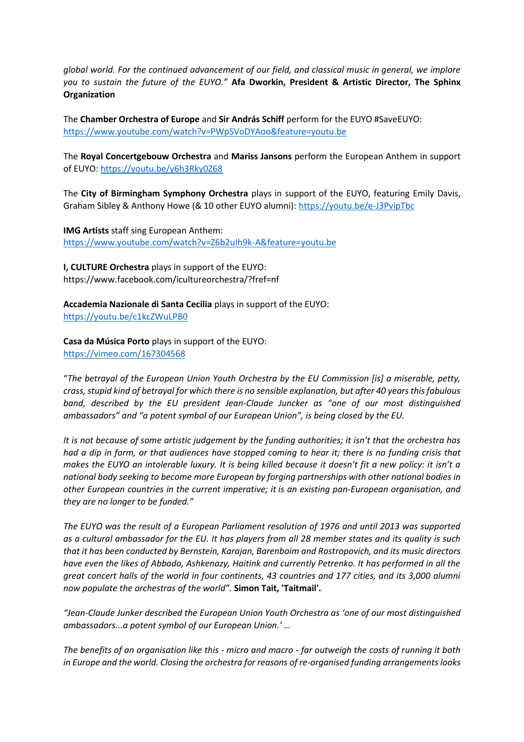*global world. For the continued advancement of our field, and classical music in general, we implore you to sustain the future of the EUYO."* **Afa Dworkin, President & Artistic Director, The Sphinx Organization**

The **Chamber Orchestra of Europe** and **Sir András Schiff** perform for the EUYO #SaveEUYO: <https://www.youtube.com/watch?v=PWpSVoDYAoo&feature=youtu.be>

The **Royal Concertgebouw Orchestra** and **Mariss Jansons** perform the European Anthem in support of EUYO: <https://youtu.be/y6h3Rky0Z68>

The **City of Birmingham Symphony Orchestra** plays in support of the EUYO, featuring Emily Davis, Graham Sibley & Anthony Howe (& 10 other EUYO alumni): <https://youtu.be/e-J3PvipTbc>

**IMG Artists** staff sing European Anthem: <https://www.youtube.com/watch?v=Z6b2uIh9k-A&feature=youtu.be>

**I, CULTURE Orchestra** plays in support of the EUYO: https://www.facebook.com/icultureorchestra/?fref=nf

**Accademia Nazionale di Santa Cecilia** plays in support of the EUYO: <https://youtu.be/c1kcZWuLPB0>

**Casa da Música Porto** plays in support of the EUYO: <https://vimeo.com/167304568>

"*The betrayal of the European Union Youth Orchestra by the EU Commission [is] a miserable, petty, crass, stupid kind of betrayal for which there is no sensible explanation, but after 40 years this fabulous band, described by the EU president Jean-Claude Juncker as "one of our most distinguished ambassadors" and "a potent symbol of our European Union", is being closed by the EU.*

*It is not because of some artistic judgement by the funding authorities; it isn't that the orchestra has had a dip in form, or that audiences have stopped coming to hear it; there is no funding crisis that makes the EUYO an intolerable luxury. It is being killed because it doesn't fit a new policy: it isn't a national body seeking to become more European by forging partnerships with other national bodies in other European countries in the current imperative; it is an existing pan-European organisation, and they are no longer to be funded."*

*The EUYO was the result of a European Parliament resolution of 1976 and until 2013 was supported as a cultural ambassador for the EU. It has players from all 28 member states and its quality is such that it has been conducted by Bernstein, Karajan, Barenboim and Rostropovich, and its music directors have even the likes of Abbado, Ashkenazy, Haitink and currently Petrenko. It has performed in all the great concert halls of the world in four continents, 43 countries and 177 cities, and its 3,000 alumni now populate the orchestras of the world".* **Simon Tait, 'Taitmail'.**

*"Jean-Claude Junker described the European Union Youth Orchestra as 'one of our most distinguished ambassadors...a potent symbol of our European Union.' …*

*The benefits of an organisation like this - micro and macro - far outweigh the costs of running it both in Europe and the world. Closing the orchestra for reasons of re-organised funding arrangements looks*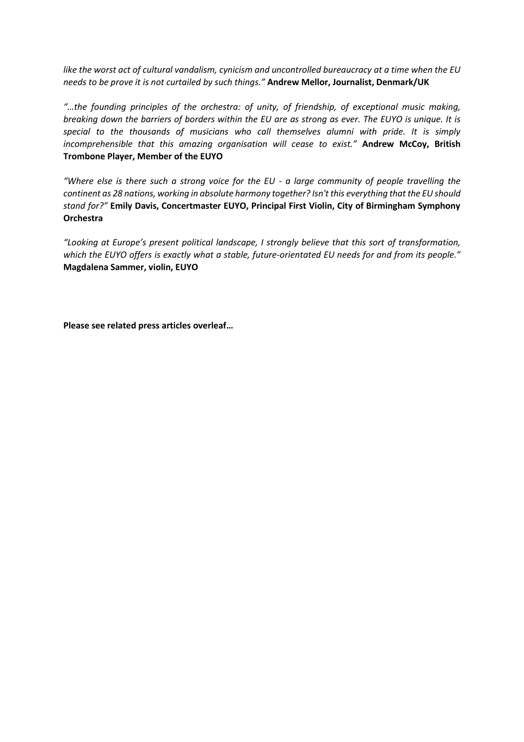*like the worst act of cultural vandalism, cynicism and uncontrolled bureaucracy at a time when the EU needs to be prove it is not curtailed by such things."* **Andrew Mellor, Journalist, Denmark/UK**

*"…the founding principles of the orchestra: of unity, of friendship, of exceptional music making, breaking down the barriers of borders within the EU are as strong as ever. The EUYO is unique. It is special to the thousands of musicians who call themselves alumni with pride. It is simply incomprehensible that this amazing organisation will cease to exist."* **Andrew McCoy, British Trombone Player, Member of the EUYO**

*"Where else is there such a strong voice for the EU - a large community of people travelling the continent as 28 nations, working in absolute harmony together? Isn't this everything that the EU should stand for?"* **Emily Davis, Concertmaster EUYO, Principal First Violin, City of Birmingham Symphony Orchestra**

"Looking at Europe's present political landscape, I strongly believe that this sort of transformation, *which the EUYO offers is exactly what a stable, future-orientated EU needs for and from its people."* **Magdalena Sammer, violin, EUYO**

**Please see related press articles overleaf…**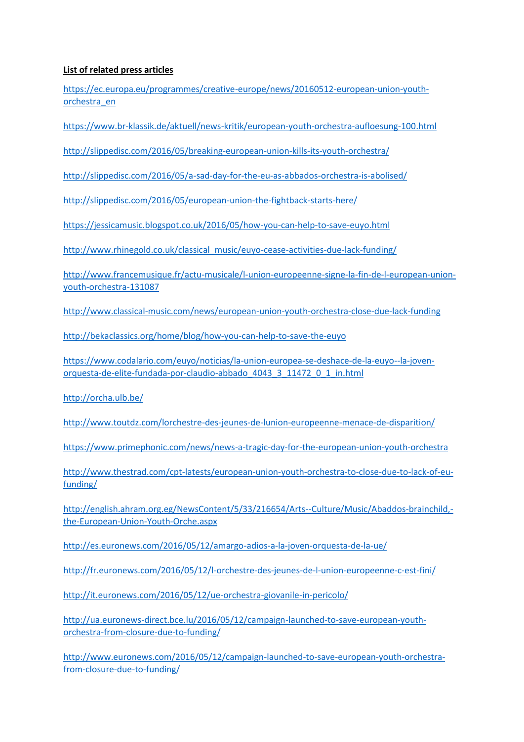### **List of related press articles**

[https://ec.europa.eu/programmes/creative-europe/news/20160512-european-union-youth](https://ec.europa.eu/programmes/creative-europe/news/20160512-european-union-youth-orchestra_en)[orchestra\\_en](https://ec.europa.eu/programmes/creative-europe/news/20160512-european-union-youth-orchestra_en)

<https://www.br-klassik.de/aktuell/news-kritik/european-youth-orchestra-aufloesung-100.html>

<http://slippedisc.com/2016/05/breaking-european-union-kills-its-youth-orchestra/>

<http://slippedisc.com/2016/05/a-sad-day-for-the-eu-as-abbados-orchestra-is-abolised/>

<http://slippedisc.com/2016/05/european-union-the-fightback-starts-here/>

<https://jessicamusic.blogspot.co.uk/2016/05/how-you-can-help-to-save-euyo.html>

[http://www.rhinegold.co.uk/classical\\_music/euyo-cease-activities-due-lack-funding/](http://www.rhinegold.co.uk/classical_music/euyo-cease-activities-due-lack-funding/)

[http://www.francemusique.fr/actu-musicale/l-union-europeenne-signe-la-fin-de-l-european-union](http://www.francemusique.fr/actu-musicale/l-union-europeenne-signe-la-fin-de-l-european-union-youth-orchestra-131087)[youth-orchestra-131087](http://www.francemusique.fr/actu-musicale/l-union-europeenne-signe-la-fin-de-l-european-union-youth-orchestra-131087)

<http://www.classical-music.com/news/european-union-youth-orchestra-close-due-lack-funding>

<http://bekaclassics.org/home/blog/how-you-can-help-to-save-the-euyo>

[https://www.codalario.com/euyo/noticias/la-union-europea-se-deshace-de-la-euyo--la-joven](https://www.codalario.com/euyo/noticias/la-union-europea-se-deshace-de-la-euyo--la-joven-orquesta-de-elite-fundada-por-claudio-abbado_4043_3_11472_0_1_in.html)[orquesta-de-elite-fundada-por-claudio-abbado\\_4043\\_3\\_11472\\_0\\_1\\_in.html](https://www.codalario.com/euyo/noticias/la-union-europea-se-deshace-de-la-euyo--la-joven-orquesta-de-elite-fundada-por-claudio-abbado_4043_3_11472_0_1_in.html)

<http://orcha.ulb.be/>

<http://www.toutdz.com/lorchestre-des-jeunes-de-lunion-europeenne-menace-de-disparition/>

<https://www.primephonic.com/news/news-a-tragic-day-for-the-european-union-youth-orchestra>

[http://www.thestrad.com/cpt-latests/european-union-youth-orchestra-to-close-due-to-lack-of-eu](http://www.thestrad.com/cpt-latests/european-union-youth-orchestra-to-close-due-to-lack-of-eu-funding/)[funding/](http://www.thestrad.com/cpt-latests/european-union-youth-orchestra-to-close-due-to-lack-of-eu-funding/)

[http://english.ahram.org.eg/NewsContent/5/33/216654/Arts--Culture/Music/Abaddos-brainchild,](http://english.ahram.org.eg/NewsContent/5/33/216654/Arts--Culture/Music/Abaddos-brainchild,-the-European-Union-Youth-Orche.aspx) [the-European-Union-Youth-Orche.aspx](http://english.ahram.org.eg/NewsContent/5/33/216654/Arts--Culture/Music/Abaddos-brainchild,-the-European-Union-Youth-Orche.aspx)

<http://es.euronews.com/2016/05/12/amargo-adios-a-la-joven-orquesta-de-la-ue/>

<http://fr.euronews.com/2016/05/12/l-orchestre-des-jeunes-de-l-union-europeenne-c-est-fini/>

<http://it.euronews.com/2016/05/12/ue-orchestra-giovanile-in-pericolo/>

[http://ua.euronews-direct.bce.lu/2016/05/12/campaign-launched-to-save-european-youth](http://ua.euronews-direct.bce.lu/2016/05/12/campaign-launched-to-save-european-youth-orchestra-from-closure-due-to-funding/)[orchestra-from-closure-due-to-funding/](http://ua.euronews-direct.bce.lu/2016/05/12/campaign-launched-to-save-european-youth-orchestra-from-closure-due-to-funding/)

[http://www.euronews.com/2016/05/12/campaign-launched-to-save-european-youth-orchestra](http://www.euronews.com/2016/05/12/campaign-launched-to-save-european-youth-orchestra-from-closure-due-to-funding/)[from-closure-due-to-funding/](http://www.euronews.com/2016/05/12/campaign-launched-to-save-european-youth-orchestra-from-closure-due-to-funding/)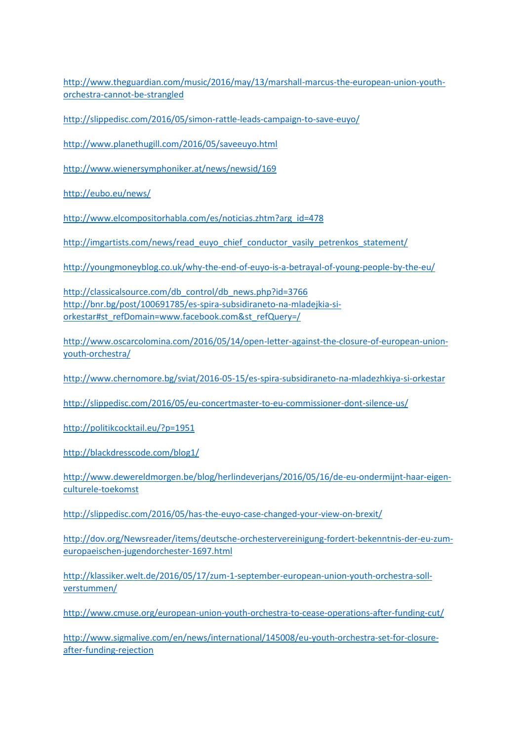[http://www.theguardian.com/music/2016/may/13/marshall-marcus-the-european-union-youth](http://www.theguardian.com/music/2016/may/13/marshall-marcus-the-european-union-youth-orchestra-cannot-be-strangled)[orchestra-cannot-be-strangled](http://www.theguardian.com/music/2016/may/13/marshall-marcus-the-european-union-youth-orchestra-cannot-be-strangled)

<http://slippedisc.com/2016/05/simon-rattle-leads-campaign-to-save-euyo/>

<http://www.planethugill.com/2016/05/saveeuyo.html>

<http://www.wienersymphoniker.at/news/newsid/169>

<http://eubo.eu/news/>

[http://www.elcompositorhabla.com/es/noticias.zhtm?arg\\_id=478](http://www.elcompositorhabla.com/es/noticias.zhtm?arg_id=478)

[http://imgartists.com/news/read\\_euyo\\_chief\\_conductor\\_vasily\\_petrenkos\\_statement/](http://imgartists.com/news/read_euyo_chief_conductor_vasily_petrenkos_statement/)

<http://youngmoneyblog.co.uk/why-the-end-of-euyo-is-a-betrayal-of-young-people-by-the-eu/>

[http://classicalsource.com/db\\_control/db\\_news.php?id=3766](http://classicalsource.com/db_control/db_news.php?id=3766) [http://bnr.bg/post/100691785/es-spira-subsidiraneto-na-mladejkia-si](http://bnr.bg/post/100691785/es-spira-subsidiraneto-na-mladejkia-si-orkestar#st_refDomain=www.facebook.com&st_refQuery=/)[orkestar#st\\_refDomain=www.facebook.com&st\\_refQuery=/](http://bnr.bg/post/100691785/es-spira-subsidiraneto-na-mladejkia-si-orkestar#st_refDomain=www.facebook.com&st_refQuery=/)

[http://www.oscarcolomina.com/2016/05/14/open-letter-against-the-closure-of-european-union](http://www.oscarcolomina.com/2016/05/14/open-letter-against-the-closure-of-european-union-youth-orchestra/)[youth-orchestra/](http://www.oscarcolomina.com/2016/05/14/open-letter-against-the-closure-of-european-union-youth-orchestra/)

<http://www.chernomore.bg/sviat/2016-05-15/es-spira-subsidiraneto-na-mladezhkiya-si-orkestar>

<http://slippedisc.com/2016/05/eu-concertmaster-to-eu-commissioner-dont-silence-us/>

<http://politikcocktail.eu/?p=1951>

<http://blackdresscode.com/blog1/>

[http://www.dewereldmorgen.be/blog/herlindeverjans/2016/05/16/de-eu-ondermijnt-haar-eigen](http://www.dewereldmorgen.be/blog/herlindeverjans/2016/05/16/de-eu-ondermijnt-haar-eigen-culturele-toekomst)[culturele-toekomst](http://www.dewereldmorgen.be/blog/herlindeverjans/2016/05/16/de-eu-ondermijnt-haar-eigen-culturele-toekomst)

<http://slippedisc.com/2016/05/has-the-euyo-case-changed-your-view-on-brexit/>

[http://dov.org/Newsreader/items/deutsche-orchestervereinigung-fordert-bekenntnis-der-eu-zum](http://dov.org/Newsreader/items/deutsche-orchestervereinigung-fordert-bekenntnis-der-eu-zum-europaeischen-jugendorchester-1697.html)[europaeischen-jugendorchester-1697.html](http://dov.org/Newsreader/items/deutsche-orchestervereinigung-fordert-bekenntnis-der-eu-zum-europaeischen-jugendorchester-1697.html)

[http://klassiker.welt.de/2016/05/17/zum-1-september-european-union-youth-orchestra-soll](http://klassiker.welt.de/2016/05/17/zum-1-september-european-union-youth-orchestra-soll-verstummen/)[verstummen/](http://klassiker.welt.de/2016/05/17/zum-1-september-european-union-youth-orchestra-soll-verstummen/)

<http://www.cmuse.org/european-union-youth-orchestra-to-cease-operations-after-funding-cut/>

[http://www.sigmalive.com/en/news/international/145008/eu-youth-orchestra-set-for-closure](http://www.sigmalive.com/en/news/international/145008/eu-youth-orchestra-set-for-closure-after-funding-rejection)[after-funding-rejection](http://www.sigmalive.com/en/news/international/145008/eu-youth-orchestra-set-for-closure-after-funding-rejection)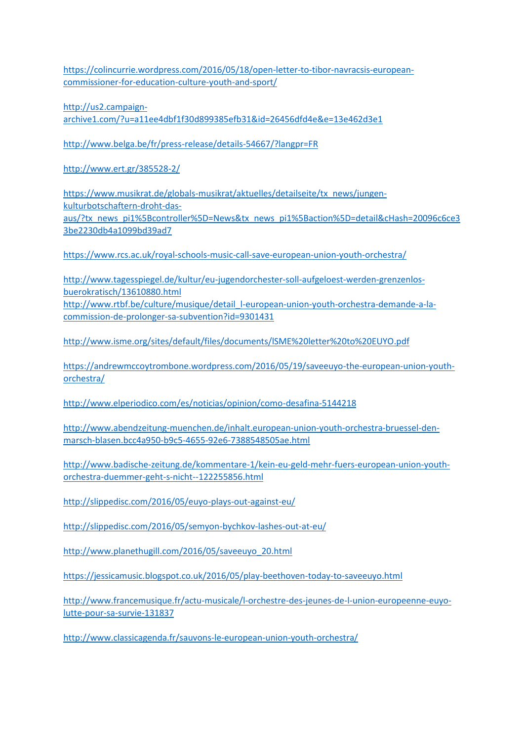[https://colincurrie.wordpress.com/2016/05/18/open-letter-to-tibor-navracsis-european](https://colincurrie.wordpress.com/2016/05/18/open-letter-to-tibor-navracsis-european-commissioner-for-education-culture-youth-and-sport/)[commissioner-for-education-culture-youth-and-sport/](https://colincurrie.wordpress.com/2016/05/18/open-letter-to-tibor-navracsis-european-commissioner-for-education-culture-youth-and-sport/)

[http://us2.campaign](http://us2.campaign-archive1.com/?u=a11ee4dbf1f30d899385efb31&id=26456dfd4e&e=13e462d3e1)[archive1.com/?u=a11ee4dbf1f30d899385efb31&id=26456dfd4e&e=13e462d3e1](http://us2.campaign-archive1.com/?u=a11ee4dbf1f30d899385efb31&id=26456dfd4e&e=13e462d3e1)

<http://www.belga.be/fr/press-release/details-54667/?langpr=FR>

<http://www.ert.gr/385528-2/>

[https://www.musikrat.de/globals-musikrat/aktuelles/detailseite/tx\\_news/jungen](https://www.musikrat.de/globals-musikrat/aktuelles/detailseite/tx_news/jungen-kulturbotschaftern-droht-das-aus/?tx_news_pi1%5Bcontroller%5D=News&tx_news_pi1%5Baction%5D=detail&cHash=20096c6ce33be2230db4a1099bd39ad7)[kulturbotschaftern-droht-das-](https://www.musikrat.de/globals-musikrat/aktuelles/detailseite/tx_news/jungen-kulturbotschaftern-droht-das-aus/?tx_news_pi1%5Bcontroller%5D=News&tx_news_pi1%5Baction%5D=detail&cHash=20096c6ce33be2230db4a1099bd39ad7)

[aus/?tx\\_news\\_pi1%5Bcontroller%5D=News&tx\\_news\\_pi1%5Baction%5D=detail&cHash=20096c6ce3](https://www.musikrat.de/globals-musikrat/aktuelles/detailseite/tx_news/jungen-kulturbotschaftern-droht-das-aus/?tx_news_pi1%5Bcontroller%5D=News&tx_news_pi1%5Baction%5D=detail&cHash=20096c6ce33be2230db4a1099bd39ad7) [3be2230db4a1099bd39ad7](https://www.musikrat.de/globals-musikrat/aktuelles/detailseite/tx_news/jungen-kulturbotschaftern-droht-das-aus/?tx_news_pi1%5Bcontroller%5D=News&tx_news_pi1%5Baction%5D=detail&cHash=20096c6ce33be2230db4a1099bd39ad7)

<https://www.rcs.ac.uk/royal-schools-music-call-save-european-union-youth-orchestra/>

[http://www.tagesspiegel.de/kultur/eu-jugendorchester-soll-aufgeloest-werden-grenzenlos](http://www.tagesspiegel.de/kultur/eu-jugendorchester-soll-aufgeloest-werden-grenzenlos-buerokratisch/13610880.html)[buerokratisch/13610880.html](http://www.tagesspiegel.de/kultur/eu-jugendorchester-soll-aufgeloest-werden-grenzenlos-buerokratisch/13610880.html) [http://www.rtbf.be/culture/musique/detail\\_l-european-union-youth-orchestra-demande-a-la](http://www.rtbf.be/culture/musique/detail_l-european-union-youth-orchestra-demande-a-la-commission-de-prolonger-sa-subvention?id=9301431)[commission-de-prolonger-sa-subvention?id=9301431](http://www.rtbf.be/culture/musique/detail_l-european-union-youth-orchestra-demande-a-la-commission-de-prolonger-sa-subvention?id=9301431)

<http://www.isme.org/sites/default/files/documents/lSME%20letter%20to%20EUYO.pdf>

[https://andrewmccoytrombone.wordpress.com/2016/05/19/saveeuyo-the-european-union-youth](https://andrewmccoytrombone.wordpress.com/2016/05/19/saveeuyo-the-european-union-youth-orchestra/)[orchestra/](https://andrewmccoytrombone.wordpress.com/2016/05/19/saveeuyo-the-european-union-youth-orchestra/)

<http://www.elperiodico.com/es/noticias/opinion/como-desafina-5144218>

[http://www.abendzeitung-muenchen.de/inhalt.european-union-youth-orchestra-bruessel-den](http://www.abendzeitung-muenchen.de/inhalt.european-union-youth-orchestra-bruessel-den-marsch-blasen.bcc4a950-b9c5-4655-92e6-7388548505ae.html)[marsch-blasen.bcc4a950-b9c5-4655-92e6-7388548505ae.html](http://www.abendzeitung-muenchen.de/inhalt.european-union-youth-orchestra-bruessel-den-marsch-blasen.bcc4a950-b9c5-4655-92e6-7388548505ae.html)

[http://www.badische-zeitung.de/kommentare-1/kein-eu-geld-mehr-fuers-european-union-youth](http://www.badische-zeitung.de/kommentare-1/kein-eu-geld-mehr-fuers-european-union-youth-orchestra-duemmer-geht-s-nicht--122255856.html)[orchestra-duemmer-geht-s-nicht--122255856.html](http://www.badische-zeitung.de/kommentare-1/kein-eu-geld-mehr-fuers-european-union-youth-orchestra-duemmer-geht-s-nicht--122255856.html)

<http://slippedisc.com/2016/05/euyo-plays-out-against-eu/>

<http://slippedisc.com/2016/05/semyon-bychkov-lashes-out-at-eu/>

[http://www.planethugill.com/2016/05/saveeuyo\\_20.html](http://www.planethugill.com/2016/05/saveeuyo_20.html)

<https://jessicamusic.blogspot.co.uk/2016/05/play-beethoven-today-to-saveeuyo.html>

[http://www.francemusique.fr/actu-musicale/l-orchestre-des-jeunes-de-l-union-europeenne-euyo](http://www.francemusique.fr/actu-musicale/l-orchestre-des-jeunes-de-l-union-europeenne-euyo-lutte-pour-sa-survie-131837)[lutte-pour-sa-survie-131837](http://www.francemusique.fr/actu-musicale/l-orchestre-des-jeunes-de-l-union-europeenne-euyo-lutte-pour-sa-survie-131837)

<http://www.classicagenda.fr/sauvons-le-european-union-youth-orchestra/>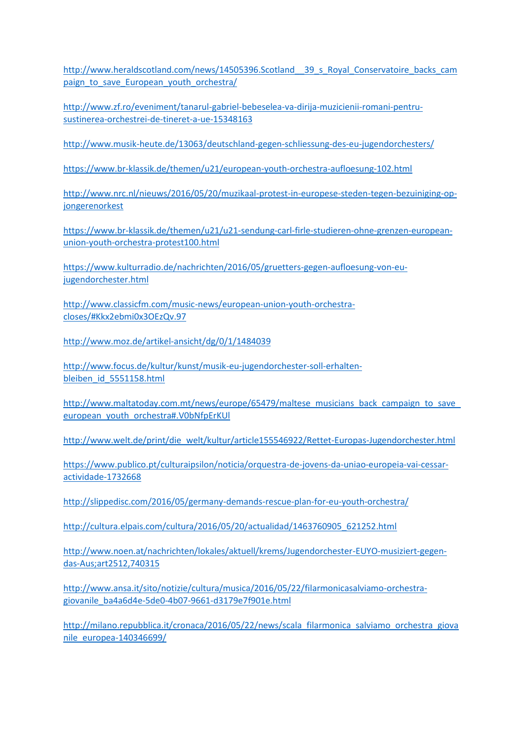http://www.heraldscotland.com/news/14505396.Scotland 39 s Royal Conservatoire backs cam paign to save European youth orchestra/

[http://www.zf.ro/eveniment/tanarul-gabriel-bebeselea-va-dirija-muzicienii-romani-pentru](http://www.zf.ro/eveniment/tanarul-gabriel-bebeselea-va-dirija-muzicienii-romani-pentru-sustinerea-orchestrei-de-tineret-a-ue-15348163)[sustinerea-orchestrei-de-tineret-a-ue-15348163](http://www.zf.ro/eveniment/tanarul-gabriel-bebeselea-va-dirija-muzicienii-romani-pentru-sustinerea-orchestrei-de-tineret-a-ue-15348163)

<http://www.musik-heute.de/13063/deutschland-gegen-schliessung-des-eu-jugendorchesters/>

<https://www.br-klassik.de/themen/u21/european-youth-orchestra-aufloesung-102.html>

[http://www.nrc.nl/nieuws/2016/05/20/muzikaal-protest-in-europese-steden-tegen-bezuiniging-op](http://www.nrc.nl/nieuws/2016/05/20/muzikaal-protest-in-europese-steden-tegen-bezuiniging-op-jongerenorkest)[jongerenorkest](http://www.nrc.nl/nieuws/2016/05/20/muzikaal-protest-in-europese-steden-tegen-bezuiniging-op-jongerenorkest)

[https://www.br-klassik.de/themen/u21/u21-sendung-carl-firle-studieren-ohne-grenzen-european](https://www.br-klassik.de/themen/u21/u21-sendung-carl-firle-studieren-ohne-grenzen-european-union-youth-orchestra-protest100.html)[union-youth-orchestra-protest100.html](https://www.br-klassik.de/themen/u21/u21-sendung-carl-firle-studieren-ohne-grenzen-european-union-youth-orchestra-protest100.html)

[https://www.kulturradio.de/nachrichten/2016/05/gruetters-gegen-aufloesung-von-eu](https://www.kulturradio.de/nachrichten/2016/05/gruetters-gegen-aufloesung-von-eu-jugendorchester.html)[jugendorchester.html](https://www.kulturradio.de/nachrichten/2016/05/gruetters-gegen-aufloesung-von-eu-jugendorchester.html)

[http://www.classicfm.com/music-news/european-union-youth-orchestra](http://www.classicfm.com/music-news/european-union-youth-orchestra-closes/#Kkx2ebmi0x3OEzQv.97)[closes/#Kkx2ebmi0x3OEzQv.97](http://www.classicfm.com/music-news/european-union-youth-orchestra-closes/#Kkx2ebmi0x3OEzQv.97)

<http://www.moz.de/artikel-ansicht/dg/0/1/1484039>

[http://www.focus.de/kultur/kunst/musik-eu-jugendorchester-soll-erhalten](http://www.focus.de/kultur/kunst/musik-eu-jugendorchester-soll-erhalten-bleiben_id_5551158.html)[bleiben\\_id\\_5551158.html](http://www.focus.de/kultur/kunst/musik-eu-jugendorchester-soll-erhalten-bleiben_id_5551158.html)

http://www.maltatoday.com.mt/news/europe/65479/maltese\_musicians\_back\_campaign\_to\_save [european\\_youth\\_orchestra#.V0bNfpErKUl](http://www.maltatoday.com.mt/news/europe/65479/maltese_musicians_back_campaign_to_save_european_youth_orchestra#.V0bNfpErKUl)

[http://www.welt.de/print/die\\_welt/kultur/article155546922/Rettet-Europas-Jugendorchester.html](http://www.welt.de/print/die_welt/kultur/article155546922/Rettet-Europas-Jugendorchester.html)

[https://www.publico.pt/culturaipsilon/noticia/orquestra-de-jovens-da-uniao-europeia-vai-cessar](https://www.publico.pt/culturaipsilon/noticia/orquestra-de-jovens-da-uniao-europeia-vai-cessar-actividade-1732668)[actividade-1732668](https://www.publico.pt/culturaipsilon/noticia/orquestra-de-jovens-da-uniao-europeia-vai-cessar-actividade-1732668)

<http://slippedisc.com/2016/05/germany-demands-rescue-plan-for-eu-youth-orchestra/>

[http://cultura.elpais.com/cultura/2016/05/20/actualidad/1463760905\\_621252.html](http://cultura.elpais.com/cultura/2016/05/20/actualidad/1463760905_621252.html)

[http://www.noen.at/nachrichten/lokales/aktuell/krems/Jugendorchester-EUYO-musiziert-gegen](http://www.noen.at/nachrichten/lokales/aktuell/krems/Jugendorchester-EUYO-musiziert-gegen-das-Aus;art2512,740315)[das-Aus;art2512,740315](http://www.noen.at/nachrichten/lokales/aktuell/krems/Jugendorchester-EUYO-musiziert-gegen-das-Aus;art2512,740315)

[http://www.ansa.it/sito/notizie/cultura/musica/2016/05/22/filarmonicasalviamo-orchestra](http://www.ansa.it/sito/notizie/cultura/musica/2016/05/22/filarmonicasalviamo-orchestra-giovanile_ba4a6d4e-5de0-4b07-9661-d3179e7f901e.html)[giovanile\\_ba4a6d4e-5de0-4b07-9661-d3179e7f901e.html](http://www.ansa.it/sito/notizie/cultura/musica/2016/05/22/filarmonicasalviamo-orchestra-giovanile_ba4a6d4e-5de0-4b07-9661-d3179e7f901e.html)

[http://milano.repubblica.it/cronaca/2016/05/22/news/scala\\_filarmonica\\_salviamo\\_orchestra\\_giova](http://milano.repubblica.it/cronaca/2016/05/22/news/scala_filarmonica_salviamo_orchestra_giovanile_europea-140346699/) [nile\\_europea-140346699/](http://milano.repubblica.it/cronaca/2016/05/22/news/scala_filarmonica_salviamo_orchestra_giovanile_europea-140346699/)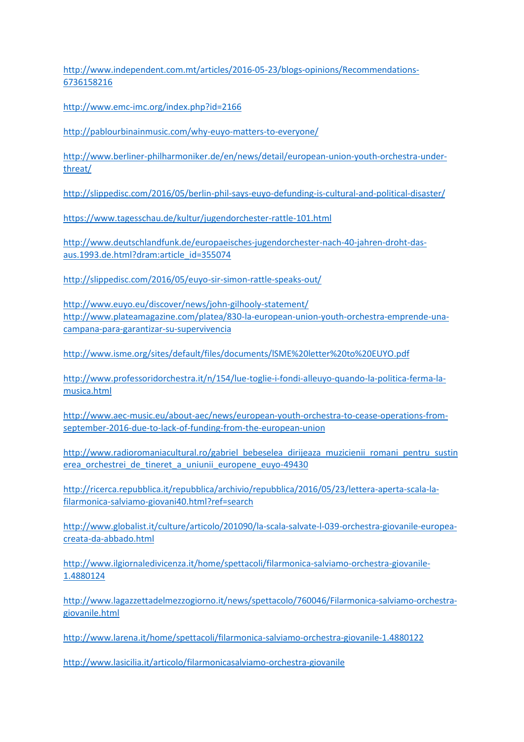[http://www.independent.com.mt/articles/2016-05-23/blogs-opinions/Recommendations-](http://www.independent.com.mt/articles/2016-05-23/blogs-opinions/Recommendations-6736158216)[6736158216](http://www.independent.com.mt/articles/2016-05-23/blogs-opinions/Recommendations-6736158216)

<http://www.emc-imc.org/index.php?id=2166>

<http://pablourbinainmusic.com/why-euyo-matters-to-everyone/>

[http://www.berliner-philharmoniker.de/en/news/detail/european-union-youth-orchestra-under](http://www.berliner-philharmoniker.de/en/news/detail/european-union-youth-orchestra-under-threat/)[threat/](http://www.berliner-philharmoniker.de/en/news/detail/european-union-youth-orchestra-under-threat/)

<http://slippedisc.com/2016/05/berlin-phil-says-euyo-defunding-is-cultural-and-political-disaster/>

<https://www.tagesschau.de/kultur/jugendorchester-rattle-101.html>

[http://www.deutschlandfunk.de/europaeisches-jugendorchester-nach-40-jahren-droht-das](http://www.deutschlandfunk.de/europaeisches-jugendorchester-nach-40-jahren-droht-das-aus.1993.de.html?dram:article_id=355074)[aus.1993.de.html?dram:article\\_id=355074](http://www.deutschlandfunk.de/europaeisches-jugendorchester-nach-40-jahren-droht-das-aus.1993.de.html?dram:article_id=355074)

<http://slippedisc.com/2016/05/euyo-sir-simon-rattle-speaks-out/>

<http://www.euyo.eu/discover/news/john-gilhooly-statement/> [http://www.plateamagazine.com/platea/830-la-european-union-youth-orchestra-emprende-una](http://www.plateamagazine.com/platea/830-la-european-union-youth-orchestra-emprende-una-campana-para-garantizar-su-supervivencia)[campana-para-garantizar-su-supervivencia](http://www.plateamagazine.com/platea/830-la-european-union-youth-orchestra-emprende-una-campana-para-garantizar-su-supervivencia)

<http://www.isme.org/sites/default/files/documents/lSME%20letter%20to%20EUYO.pdf>

[http://www.professoridorchestra.it/n/154/lue-toglie-i-fondi-alleuyo-quando-la-politica-ferma-la](http://www.professoridorchestra.it/n/154/lue-toglie-i-fondi-alleuyo-quando-la-politica-ferma-la-musica.html)[musica.html](http://www.professoridorchestra.it/n/154/lue-toglie-i-fondi-alleuyo-quando-la-politica-ferma-la-musica.html)

[http://www.aec-music.eu/about-aec/news/european-youth-orchestra-to-cease-operations-from](http://www.aec-music.eu/about-aec/news/european-youth-orchestra-to-cease-operations-from-september-2016-due-to-lack-of-funding-from-the-european-union)[september-2016-due-to-lack-of-funding-from-the-european-union](http://www.aec-music.eu/about-aec/news/european-youth-orchestra-to-cease-operations-from-september-2016-due-to-lack-of-funding-from-the-european-union)

[http://www.radioromaniacultural.ro/gabriel\\_bebeselea\\_dirijeaza\\_muzicienii\\_romani\\_pentru\\_sustin](http://www.radioromaniacultural.ro/gabriel_bebeselea_dirijeaza_muzicienii_romani_pentru_sustinerea_orchestrei_de_tineret_a_uniunii_europene_euyo-49430) erea orchestrei de tineret a uniunii europene euyo-49430

[http://ricerca.repubblica.it/repubblica/archivio/repubblica/2016/05/23/lettera-aperta-scala-la](http://ricerca.repubblica.it/repubblica/archivio/repubblica/2016/05/23/lettera-aperta-scala-la-filarmonica-salviamo-giovani40.html?ref=search)[filarmonica-salviamo-giovani40.html?ref=search](http://ricerca.repubblica.it/repubblica/archivio/repubblica/2016/05/23/lettera-aperta-scala-la-filarmonica-salviamo-giovani40.html?ref=search)

[http://www.globalist.it/culture/articolo/201090/la-scala-salvate-l-039-orchestra-giovanile-europea](http://www.globalist.it/culture/articolo/201090/la-scala-salvate-l-039-orchestra-giovanile-europea-creata-da-abbado.html)[creata-da-abbado.html](http://www.globalist.it/culture/articolo/201090/la-scala-salvate-l-039-orchestra-giovanile-europea-creata-da-abbado.html)

[http://www.ilgiornaledivicenza.it/home/spettacoli/filarmonica-salviamo-orchestra-giovanile-](http://www.ilgiornaledivicenza.it/home/spettacoli/filarmonica-salviamo-orchestra-giovanile-1.4880124)[1.4880124](http://www.ilgiornaledivicenza.it/home/spettacoli/filarmonica-salviamo-orchestra-giovanile-1.4880124)

[http://www.lagazzettadelmezzogiorno.it/news/spettacolo/760046/Filarmonica-salviamo-orchestra](http://www.lagazzettadelmezzogiorno.it/news/spettacolo/760046/Filarmonica-salviamo-orchestra-giovanile.html)[giovanile.html](http://www.lagazzettadelmezzogiorno.it/news/spettacolo/760046/Filarmonica-salviamo-orchestra-giovanile.html)

<http://www.larena.it/home/spettacoli/filarmonica-salviamo-orchestra-giovanile-1.4880122>

<http://www.lasicilia.it/articolo/filarmonicasalviamo-orchestra-giovanile>